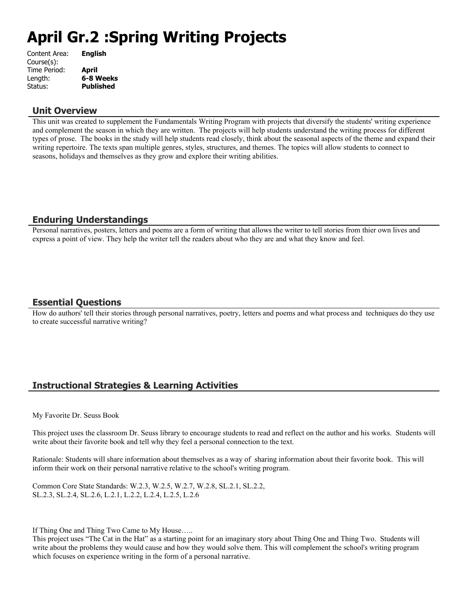# **April Gr.2 :Spring Writing Projects**

| <b>English</b>   |
|------------------|
|                  |
| April            |
| 6-8 Weeks        |
| <b>Published</b> |
|                  |

#### **Unit Overview**

This unit was created to supplement the Fundamentals Writing Program with projects that diversify the students' writing experience and complement the season in which they are written. The projects will help students understand the writing process for different types of prose. The books in the study will help students read closely, think about the seasonal aspects of the theme and expand their writing repertoire. The texts span multiple genres, styles, structures, and themes. The topics will allow students to connect to seasons, holidays and themselves as they grow and explore their writing abilities.

# **Enduring Understandings**

Personal narratives, posters, letters and poems are a form of writing that allows the writer to tell stories from thier own lives and express a point of view. They help the writer tell the readers about who they are and what they know and feel.

# **Essential Questions**

How do authors' tell their stories through personal narratives, poetry, letters and poems and what process and techniques do they use to create successful narrative writing?

# **Instructional Strategies & Learning Activities**

My Favorite Dr. Seuss Book

This project uses the classroom Dr. Seuss library to encourage students to read and reflect on the author and his works. Students will write about their favorite book and tell why they feel a personal connection to the text.

Rationale: Students will share information about themselves as a way of sharing information about their favorite book. This will inform their work on their personal narrative relative to the school's writing program.

Common Core State Standards: W.2.3, W.2.5, W.2.7, W.2.8, SL.2.1, SL.2.2, SL.2.3, SL.2.4, SL.2.6, L.2.1, L.2.2, L.2.4, L.2.5, L.2.6

If Thing One and Thing Two Came to My House…..

This project uses "The Cat in the Hat" as a starting point for an imaginary story about Thing One and Thing Two. Students will write about the problems they would cause and how they would solve them. This will complement the school's writing program which focuses on experience writing in the form of a personal narrative.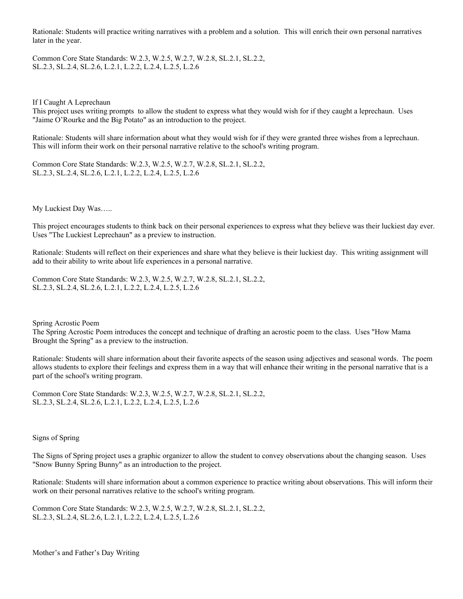Rationale: Students will practice writing narratives with a problem and a solution. This will enrich their own personal narratives later in the year.

Common Core State Standards: W.2.3, W.2.5, W.2.7, W.2.8, SL.2.1, SL.2.2, SL.2.3, SL.2.4, SL.2.6, L.2.1, L.2.2, L.2.4, L.2.5, L.2.6

If I Caught A Leprechaun

This project uses writing prompts to allow the student to express what they would wish for if they caught a leprechaun. Uses "Jaime O'Rourke and the Big Potato" as an introduction to the project.

Rationale: Students will share information about what they would wish for if they were granted three wishes from a leprechaun. This will inform their work on their personal narrative relative to the school's writing program.

Common Core State Standards: W.2.3, W.2.5, W.2.7, W.2.8, SL.2.1, SL.2.2, SL.2.3, SL.2.4, SL.2.6, L.2.1, L.2.2, L.2.4, L.2.5, L.2.6

My Luckiest Day Was…..

This project encourages students to think back on their personal experiences to express what they believe was their luckiest day ever. Uses "The Luckiest Leprechaun" as a preview to instruction.

Rationale: Students will reflect on their experiences and share what they believe is their luckiest day. This writing assignment will add to their ability to write about life experiences in a personal narrative.

Common Core State Standards: W.2.3, W.2.5, W.2.7, W.2.8, SL.2.1, SL.2.2, SL.2.3, SL.2.4, SL.2.6, L.2.1, L.2.2, L.2.4, L.2.5, L.2.6

Spring Acrostic Poem

The Spring Acrostic Poem introduces the concept and technique of drafting an acrostic poem to the class. Uses "How Mama Brought the Spring" as a preview to the instruction.

Rationale: Students will share information about their favorite aspects of the season using adjectives and seasonal words. The poem allows students to explore their feelings and express them in a way that will enhance their writing in the personal narrative that is a part of the school's writing program.

Common Core State Standards: W.2.3, W.2.5, W.2.7, W.2.8, SL.2.1, SL.2.2, SL.2.3, SL.2.4, SL.2.6, L.2.1, L.2.2, L.2.4, L.2.5, L.2.6

Signs of Spring

The Signs of Spring project uses a graphic organizer to allow the student to convey observations about the changing season. Uses "Snow Bunny Spring Bunny" as an introduction to the project.

Rationale: Students will share information about a common experience to practice writing about observations. This will inform their work on their personal narratives relative to the school's writing program.

Common Core State Standards: W.2.3, W.2.5, W.2.7, W.2.8, SL.2.1, SL.2.2, SL.2.3, SL.2.4, SL.2.6, L.2.1, L.2.2, L.2.4, L.2.5, L.2.6

Mother's and Father's Day Writing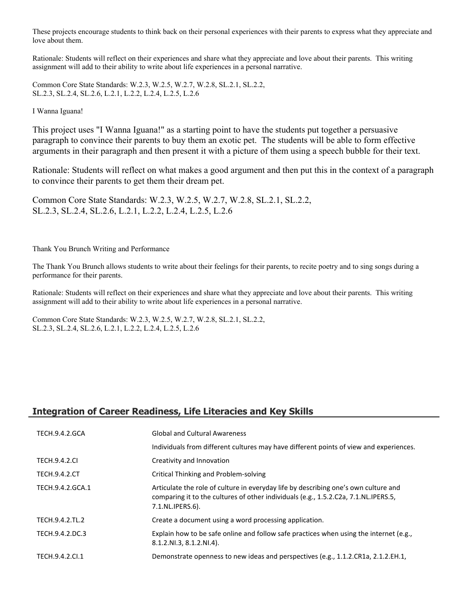These projects encourage students to think back on their personal experiences with their parents to express what they appreciate and love about them.

Rationale: Students will reflect on their experiences and share what they appreciate and love about their parents. This writing assignment will add to their ability to write about life experiences in a personal narrative.

Common Core State Standards: W.2.3, W.2.5, W.2.7, W.2.8, SL.2.1, SL.2.2, SL.2.3, SL.2.4, SL.2.6, L.2.1, L.2.2, L.2.4, L.2.5, L.2.6

I Wanna Iguana!

This project uses "I Wanna Iguana!" as a starting point to have the students put together a persuasive paragraph to convince their parents to buy them an exotic pet. The students will be able to form effective arguments in their paragraph and then present it with a picture of them using a speech bubble for their text.

Rationale: Students will reflect on what makes a good argument and then put this in the context of a paragraph to convince their parents to get them their dream pet.

Common Core State Standards: W.2.3, W.2.5, W.2.7, W.2.8, SL.2.1, SL.2.2, SL.2.3, SL.2.4, SL.2.6, L.2.1, L.2.2, L.2.4, L.2.5, L.2.6

Thank You Brunch Writing and Performance

The Thank You Brunch allows students to write about their feelings for their parents, to recite poetry and to sing songs during a performance for their parents.

Rationale: Students will reflect on their experiences and share what they appreciate and love about their parents. This writing assignment will add to their ability to write about life experiences in a personal narrative.

Common Core State Standards: W.2.3, W.2.5, W.2.7, W.2.8, SL.2.1, SL.2.2, SL.2.3, SL.2.4, SL.2.6, L.2.1, L.2.2, L.2.4, L.2.5, L.2.6

# **Integration of Career Readiness, Life Literacies and Key Skills**

| TECH.9.4.2.GCA       | <b>Global and Cultural Awareness</b>                                                                                                                                                           |
|----------------------|------------------------------------------------------------------------------------------------------------------------------------------------------------------------------------------------|
|                      | Individuals from different cultures may have different points of view and experiences.                                                                                                         |
| <b>TECH.9.4.2.CI</b> | Creativity and Innovation                                                                                                                                                                      |
| <b>TECH.9.4.2.CT</b> | Critical Thinking and Problem-solving                                                                                                                                                          |
| TECH.9.4.2.GCA.1     | Articulate the role of culture in everyday life by describing one's own culture and<br>comparing it to the cultures of other individuals (e.g., 1.5.2.C2a, 7.1.NL.IPERS.5,<br>7.1.NL.IPERS.6). |
| TECH.9.4.2.TL.2      | Create a document using a word processing application.                                                                                                                                         |
| TECH.9.4.2.DC.3      | Explain how to be safe online and follow safe practices when using the internet (e.g.,<br>$8.1.2.NI.3, 8.1.2.NI.4$ .                                                                           |
| TECH.9.4.2.Cl.1      | Demonstrate openness to new ideas and perspectives (e.g., 1.1.2.CR1a, 2.1.2.EH.1,                                                                                                              |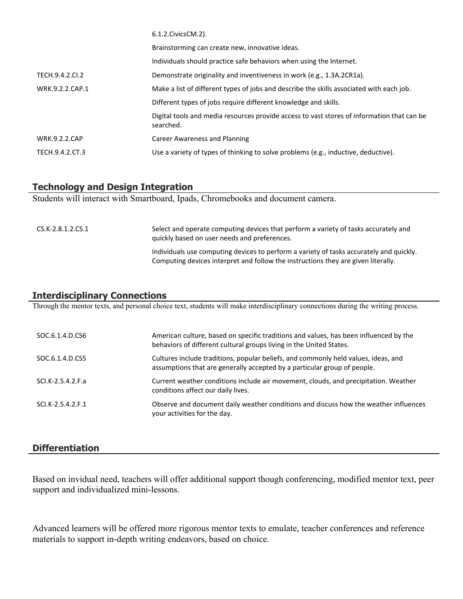|                      | 6.1.2. Civics CM. 2).                                                                                   |
|----------------------|---------------------------------------------------------------------------------------------------------|
|                      | Brainstorming can create new, innovative ideas.                                                         |
|                      | Individuals should practice safe behaviors when using the Internet.                                     |
| TECH.9.4.2.CI.2      | Demonstrate originality and inventiveness in work (e.g., 1.3A.2CR1a).                                   |
| WRK.9.2.2.CAP.1      | Make a list of different types of jobs and describe the skills associated with each job.                |
|                      | Different types of jobs require different knowledge and skills.                                         |
|                      | Digital tools and media resources provide access to vast stores of information that can be<br>searched. |
| <b>WRK.9.2.2.CAP</b> | Career Awareness and Planning                                                                           |
| TECH.9.4.2.CT.3      | Use a variety of types of thinking to solve problems (e.g., inductive, deductive).                      |

#### **Technology and Design Integration**

Students will interact with Smartboard, Ipads, Chromebooks and document camera.

| CS.K-2.8.1.2.CS.1 | Select and operate computing devices that perform a variety of tasks accurately and<br>quickly based on user needs and preferences.                                          |
|-------------------|------------------------------------------------------------------------------------------------------------------------------------------------------------------------------|
|                   | Individuals use computing devices to perform a variety of tasks accurately and quickly.<br>Computing devices interpret and follow the instructions they are given literally. |

# **Interdisciplinary Connections**

Through the mentor texts, and personal choice text, students will make interdisciplinary connections during the writing process.

| SOC.6.1.4.D.CS6   | American culture, based on specific traditions and values, has been influenced by the<br>behaviors of different cultural groups living in the United States.   |
|-------------------|----------------------------------------------------------------------------------------------------------------------------------------------------------------|
| SOC.6.1.4.D.CS5   | Cultures include traditions, popular beliefs, and commonly held values, ideas, and<br>assumptions that are generally accepted by a particular group of people. |
| SCI.K-2.5.4.2.F.a | Current weather conditions include air movement, clouds, and precipitation. Weather<br>conditions affect our daily lives.                                      |
| SCI.K-2.5.4.2.F.1 | Observe and document daily weather conditions and discuss how the weather influences<br>your activities for the day.                                           |

#### **Differentiation**

Based on invidual need, teachers will offer additional support though conferencing, modified mentor text, peer support and individualized mini-lessons.

Advanced learners will be offered more rigorous mentor texts to emulate, teacher conferences and reference materials to support in-depth writing endeavors, based on choice.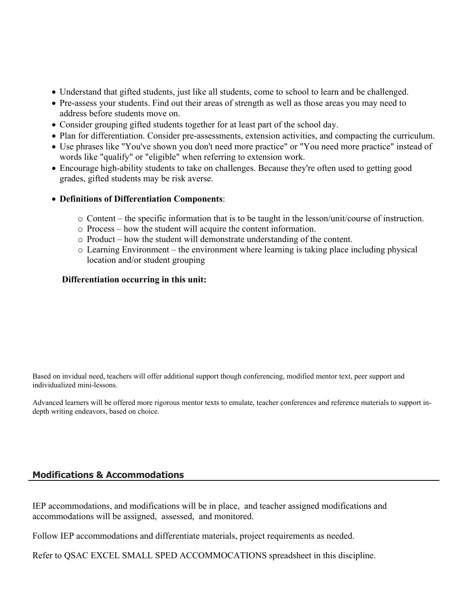- Understand that gifted students, just like all students, come to school to learn and be challenged.
- Pre-assess your students. Find out their areas of strength as well as those areas you may need to address before students move on.
- Consider grouping gifted students together for at least part of the school day.
- Plan for differentiation. Consider pre-assessments, extension activities, and compacting the curriculum.
- Use phrases like "You've shown you don't need more practice" or "You need more practice" instead of words like "qualify" or "eligible" when referring to extension work.
- Encourage high-ability students to take on challenges. Because they're often used to getting good grades, gifted students may be risk averse.
- **Definitions of Differentiation Components**:
	- o Content the specific information that is to be taught in the lesson/unit/course of instruction.
	- o Process how the student will acquire the content information.
	- o Product how the student will demonstrate understanding of the content.
	- o Learning Environment the environment where learning is taking place including physical location and/or student grouping

#### **Differentiation occurring in this unit:**

Based on invidual need, teachers will offer additional support though conferencing, modified mentor text, peer support and individualized mini-lessons.

Advanced learners will be offered more rigorous mentor texts to emulate, teacher conferences and reference materials to support indepth writing endeavors, based on choice.

# **Modifications & Accommodations**

IEP accommodations, and modifications will be in place, and teacher assigned modifications and accommodations will be assigned, assessed, and monitored.

Follow IEP accommodations and differentiate materials, project requirements as needed.

Refer to QSAC EXCEL SMALL SPED ACCOMMOCATIONS spreadsheet in this discipline.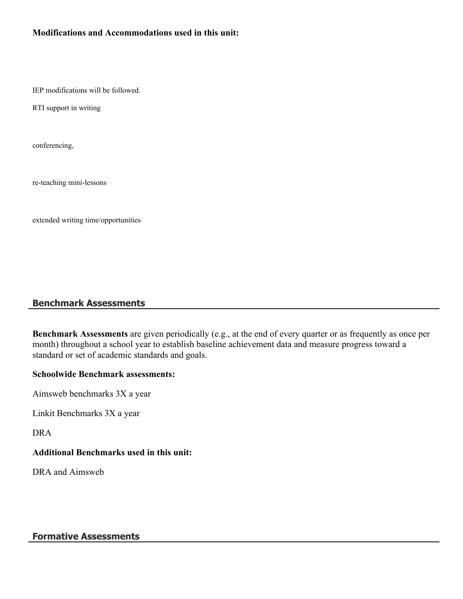## **Modifications and Accommodations used in this unit:**

IEP modifications will be followed.

RTI support in writing

conferencing,

re-teaching mini-lessons

extended writing time/opportunities

## **Benchmark Assessments**

**Benchmark Assessments** are given periodically (e.g., at the end of every quarter or as frequently as once per month) throughout a school year to establish baseline achievement data and measure progress toward a standard or set of academic standards and goals.

#### **Schoolwide Benchmark assessments:**

Aimsweb benchmarks 3X a year

Linkit Benchmarks 3X a year

DRA

#### **Additional Benchmarks used in this unit:**

DRA and Aimsweb

#### **Formative Assessments**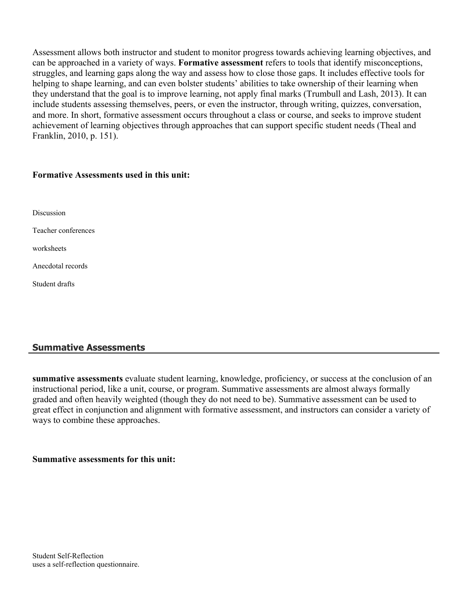Assessment allows both instructor and student to monitor progress towards achieving learning objectives, and can be approached in a variety of ways. **Formative assessment** refers to tools that identify misconceptions, struggles, and learning gaps along the way and assess how to close those gaps. It includes effective tools for helping to shape learning, and can even bolster students' abilities to take ownership of their learning when they understand that the goal is to improve learning, not apply final marks (Trumbull and Lash, 2013). It can include students assessing themselves, peers, or even the instructor, through writing, quizzes, conversation, and more. In short, formative assessment occurs throughout a class or course, and seeks to improve student achievement of learning objectives through approaches that can support specific student needs (Theal and Franklin, 2010, p. 151).

#### **Formative Assessments used in this unit:**

Teacher conferences

worksheets

Anecdotal records

Student drafts

# **Summative Assessments**

**summative assessments** evaluate student learning, knowledge, proficiency, or success at the conclusion of an instructional period, like a unit, course, or program. Summative assessments are almost always formally graded and often heavily weighted (though they do not need to be). Summative assessment can be used to great effect in conjunction and alignment with formative assessment, and instructors can consider a variety of ways to combine these approaches.

# **Summative assessments for this unit:**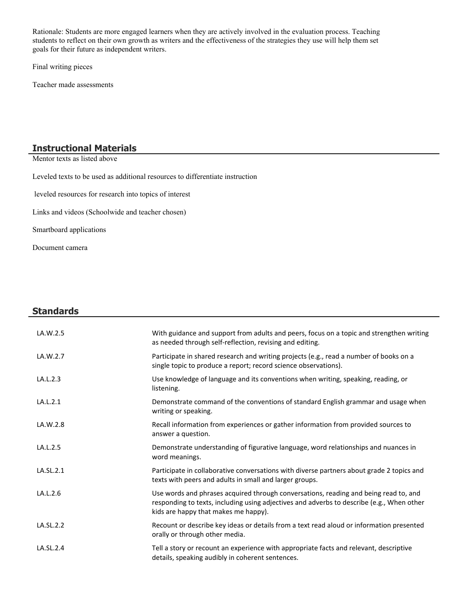Rationale: Students are more engaged learners when they are actively involved in the evaluation process. Teaching students to reflect on their own growth as writers and the effectiveness of the strategies they use will help them set goals for their future as independent writers.

Final writing pieces

Teacher made assessments

# **Instructional Materials**

Mentor texts as listed above

Leveled texts to be used as additional resources to differentiate instruction

leveled resources for research into topics of interest

Links and videos (Schoolwide and teacher chosen)

Smartboard applications

Document camera

 $\overline{\phantom{a}}$ 

| <b>Standards</b> |                                                                                                                                                                                                                           |
|------------------|---------------------------------------------------------------------------------------------------------------------------------------------------------------------------------------------------------------------------|
| LA.W.2.5         | With guidance and support from adults and peers, focus on a topic and strengthen writing<br>as needed through self-reflection, revising and editing.                                                                      |
| LA.W.2.7         | Participate in shared research and writing projects (e.g., read a number of books on a<br>single topic to produce a report; record science observations).                                                                 |
| LA.L.2.3         | Use knowledge of language and its conventions when writing, speaking, reading, or<br>listening.                                                                                                                           |
| LA.L.2.1         | Demonstrate command of the conventions of standard English grammar and usage when<br>writing or speaking.                                                                                                                 |
| LA.W.2.8         | Recall information from experiences or gather information from provided sources to<br>answer a question.                                                                                                                  |
| LA.L.2.5         | Demonstrate understanding of figurative language, word relationships and nuances in<br>word meanings.                                                                                                                     |
| LA.SL.2.1        | Participate in collaborative conversations with diverse partners about grade 2 topics and<br>texts with peers and adults in small and larger groups.                                                                      |
| LA.L.2.6         | Use words and phrases acquired through conversations, reading and being read to, and<br>responding to texts, including using adjectives and adverbs to describe (e.g., When other<br>kids are happy that makes me happy). |
| LA.SL.2.2        | Recount or describe key ideas or details from a text read aloud or information presented<br>orally or through other media.                                                                                                |
| LA.SL.2.4        | Tell a story or recount an experience with appropriate facts and relevant, descriptive<br>details, speaking audibly in coherent sentences.                                                                                |